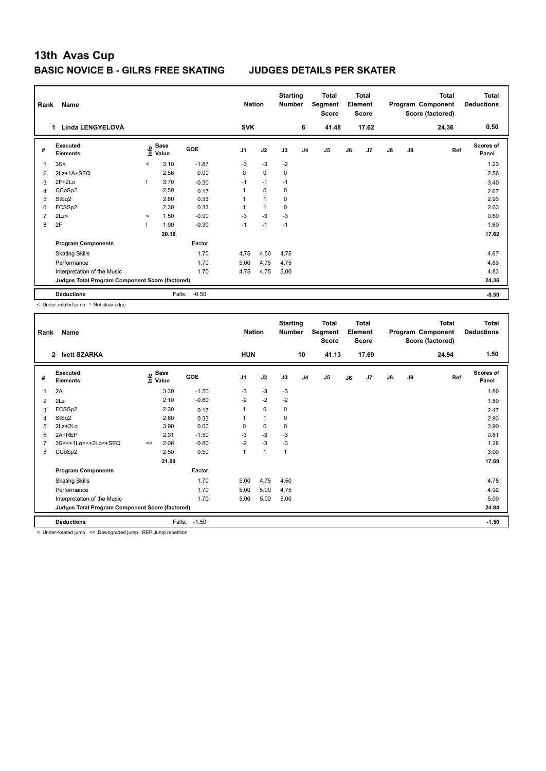| Rank           | Name                                            |         |                      |         | <b>Nation</b>  |             | <b>Starting</b><br><b>Number</b> |                | <b>Total</b><br>Segment<br><b>Score</b> |    | <b>Total</b><br>Element<br><b>Score</b> |               |    | <b>Total</b><br>Program Component<br>Score (factored) | <b>Total</b><br><b>Deductions</b> |
|----------------|-------------------------------------------------|---------|----------------------|---------|----------------|-------------|----------------------------------|----------------|-----------------------------------------|----|-----------------------------------------|---------------|----|-------------------------------------------------------|-----------------------------------|
|                | Linda LENGYELOVÁ<br>$\mathbf 1$                 |         |                      |         | <b>SVK</b>     |             |                                  | 6              | 41.48                                   |    | 17.62                                   |               |    | 24.36                                                 | 0.50                              |
| #              | Executed<br><b>Elements</b>                     | ١nfo    | <b>Base</b><br>Value | GOE     | J <sub>1</sub> | J2          | J3                               | J <sub>4</sub> | J <sub>5</sub>                          | J6 | J7                                      | $\mathsf{J}8$ | J9 | Ref                                                   | Scores of<br>Panel                |
| 1              | 3S<                                             | $\prec$ | 3.10                 | $-1.87$ | $-3$           | $-3$        | $-2$                             |                |                                         |    |                                         |               |    |                                                       | 1.23                              |
| 2              | 2Lz+1A+SEQ                                      |         | 2.56                 | 0.00    | 0              | $\mathbf 0$ | $\mathbf 0$                      |                |                                         |    |                                         |               |    |                                                       | 2.56                              |
| 3              | $2F+2Lo$                                        |         | 3.70                 | $-0.30$ | $-1$           | $-1$        | $-1$                             |                |                                         |    |                                         |               |    |                                                       | 3.40                              |
| 4              | CCoSp2                                          |         | 2.50                 | 0.17    | 1              | $\Omega$    | 0                                |                |                                         |    |                                         |               |    |                                                       | 2.67                              |
| 5              | StSq2                                           |         | 2.60                 | 0.33    |                | 1           | 0                                |                |                                         |    |                                         |               |    |                                                       | 2.93                              |
| 6              | FCSSp2                                          |         | 2.30                 | 0.33    |                | 1           | 0                                |                |                                         |    |                                         |               |    |                                                       | 2.63                              |
| $\overline{7}$ | 2Lz                                             | $\prec$ | 1.50                 | $-0.90$ | $-3$           | $-3$        | $-3$                             |                |                                         |    |                                         |               |    |                                                       | 0.60                              |
| 8              | 2F                                              |         | 1.90                 | $-0.30$ | $-1$           | $-1$        | $-1$                             |                |                                         |    |                                         |               |    |                                                       | 1.60                              |
|                |                                                 |         | 20.16                |         |                |             |                                  |                |                                         |    |                                         |               |    |                                                       | 17.62                             |
|                | <b>Program Components</b>                       |         |                      | Factor  |                |             |                                  |                |                                         |    |                                         |               |    |                                                       |                                   |
|                | <b>Skating Skills</b>                           |         |                      | 1.70    | 4,75           | 4,50        | 4,75                             |                |                                         |    |                                         |               |    |                                                       | 4.67                              |
|                | Performance                                     |         |                      | 1.70    | 5,00           | 4,75        | 4,75                             |                |                                         |    |                                         |               |    |                                                       | 4.83                              |
|                | Interpretation of the Music                     |         |                      | 1.70    | 4,75           | 4,75        | 5,00                             |                |                                         |    |                                         |               |    |                                                       | 4.83                              |
|                | Judges Total Program Component Score (factored) |         |                      |         |                |             |                                  |                |                                         |    |                                         |               |    |                                                       | 24.36                             |
|                | <b>Deductions</b>                               |         | Falls:               | $-0.50$ |                |             |                                  |                |                                         |    |                                         |               |    |                                                       | $-0.50$                           |

< Under-rotated jump ! Not clear edge

| Rank           | Name                                            |    |                                  |            | <b>Nation</b>  |              | <b>Starting</b><br><b>Number</b> |                | Total<br>Segment<br><b>Score</b> |    | <b>Total</b><br>Element<br><b>Score</b> |               |    | <b>Total</b><br>Program Component<br>Score (factored) | <b>Total</b><br><b>Deductions</b> |
|----------------|-------------------------------------------------|----|----------------------------------|------------|----------------|--------------|----------------------------------|----------------|----------------------------------|----|-----------------------------------------|---------------|----|-------------------------------------------------------|-----------------------------------|
|                | 2 Ivett SZARKA                                  |    |                                  |            | <b>HUN</b>     |              |                                  | 10             | 41.13                            |    | 17.69                                   |               |    | 24.94                                                 | 1.50                              |
| #              | Executed<br><b>Elements</b>                     |    | <b>Base</b><br>e Base<br>⊆ Value | <b>GOE</b> | J <sub>1</sub> | J2           | J3                               | J <sub>4</sub> | J5                               | J6 | J7                                      | $\mathsf{J}8$ | J9 | Ref                                                   | <b>Scores of</b><br>Panel         |
| 1              | 2A                                              |    | 3.30                             | $-1.50$    | $-3$           | $-3$         | $-3$                             |                |                                  |    |                                         |               |    |                                                       | 1.80                              |
| 2              | 2Lz                                             |    | 2.10                             | $-0.60$    | $-2$           | $-2$         | $-2$                             |                |                                  |    |                                         |               |    |                                                       | 1.50                              |
| 3              | FCSSp2                                          |    | 2.30                             | 0.17       | 1              | $\mathbf 0$  | $\mathbf 0$                      |                |                                  |    |                                         |               |    |                                                       | 2.47                              |
| 4              | StSq2                                           |    | 2.60                             | 0.33       |                | $\mathbf{1}$ | $\mathbf 0$                      |                |                                  |    |                                         |               |    |                                                       | 2.93                              |
| 5              | 2Lz+2Lo                                         |    | 3.90                             | 0.00       | 0              | $\mathbf 0$  | $\mathbf 0$                      |                |                                  |    |                                         |               |    |                                                       | 3.90                              |
| 6              | 2A+REP                                          |    | 2.31                             | $-1.50$    | $-3$           | $-3$         | $-3$                             |                |                                  |    |                                         |               |    |                                                       | 0.81                              |
| $\overline{7}$ | 3S<<+1Lo<<+2Lo<+SEQ                             | << | 2.08                             | $-0.80$    | $-2$           | $-3$         | $-3$                             |                |                                  |    |                                         |               |    |                                                       | 1.28                              |
| 8              | CCoSp2                                          |    | 2.50                             | 0.50       | $\mathbf{1}$   | $\mathbf{1}$ | $\mathbf{1}$                     |                |                                  |    |                                         |               |    |                                                       | 3.00                              |
|                |                                                 |    | 21.09                            |            |                |              |                                  |                |                                  |    |                                         |               |    |                                                       | 17.69                             |
|                | <b>Program Components</b>                       |    |                                  | Factor     |                |              |                                  |                |                                  |    |                                         |               |    |                                                       |                                   |
|                | <b>Skating Skills</b>                           |    |                                  | 1.70       | 5,00           | 4,75         | 4,50                             |                |                                  |    |                                         |               |    |                                                       | 4.75                              |
|                | Performance                                     |    |                                  | 1.70       | 5,00           | 5,00         | 4,75                             |                |                                  |    |                                         |               |    |                                                       | 4.92                              |
|                | Interpretation of the Music                     |    |                                  | 1.70       | 5,00           | 5,00         | 5,00                             |                |                                  |    |                                         |               |    |                                                       | 5.00                              |
|                | Judges Total Program Component Score (factored) |    |                                  |            |                |              |                                  |                |                                  |    |                                         |               |    |                                                       | 24.94                             |
|                | <b>Deductions</b>                               |    | Falls:                           | $-1.50$    |                |              |                                  |                |                                  |    |                                         |               |    |                                                       | $-1.50$                           |

< Under-rotated jump << Downgraded jump REP Jump repetition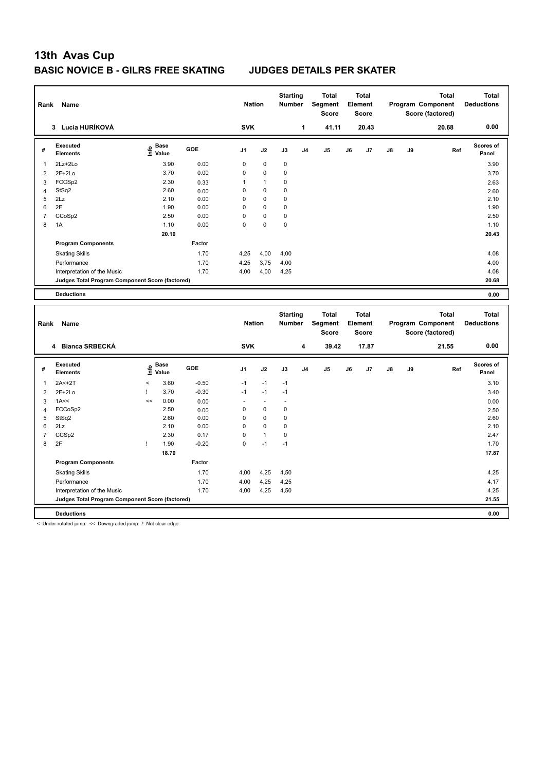| Rank           | Name                                            |                                           |         | <b>Nation</b>  |                | <b>Starting</b><br>Number |                | <b>Total</b><br>Segment<br><b>Score</b> |    | <b>Total</b><br>Element<br>Score |    |    | <b>Total</b><br>Program Component<br>Score (factored) | <b>Total</b><br><b>Deductions</b> |
|----------------|-------------------------------------------------|-------------------------------------------|---------|----------------|----------------|---------------------------|----------------|-----------------------------------------|----|----------------------------------|----|----|-------------------------------------------------------|-----------------------------------|
|                | 3 Lucia HURÍKOVÁ                                |                                           |         | <b>SVK</b>     |                |                           | $\mathbf{1}$   | 41.11                                   |    | 20.43                            |    |    | 20.68                                                 | 0.00                              |
| #              | <b>Executed</b><br><b>Elements</b>              | $\frac{e}{E}$ Base<br>$\frac{e}{E}$ Value | GOE     | J <sub>1</sub> | J2             | J3                        | J <sub>4</sub> | J <sub>5</sub>                          | J6 | J7                               | J8 | J9 | Ref                                                   | <b>Scores of</b><br>Panel         |
| 1              | 2Lz+2Lo                                         | 3.90                                      | 0.00    | $\mathbf 0$    | $\mathbf 0$    | $\mathbf 0$               |                |                                         |    |                                  |    |    |                                                       | 3.90                              |
| $\overline{2}$ | $2F+2Lo$                                        | 3.70                                      | 0.00    | $\mathbf 0$    | 0              | 0                         |                |                                         |    |                                  |    |    |                                                       | 3.70                              |
| 3              | FCCSp2                                          | 2.30                                      | 0.33    | 1              | $\mathbf{1}$   | 0                         |                |                                         |    |                                  |    |    |                                                       | 2.63                              |
| $\overline{4}$ | StSq2                                           | 2.60                                      | 0.00    | $\mathbf 0$    | 0              | 0                         |                |                                         |    |                                  |    |    |                                                       | 2.60                              |
| 5              | 2Lz                                             | 2.10                                      | 0.00    | $\mathbf 0$    | 0              | 0                         |                |                                         |    |                                  |    |    |                                                       | 2.10                              |
| 6              | 2F                                              | 1.90                                      | 0.00    | $\mathbf 0$    | 0              | 0                         |                |                                         |    |                                  |    |    |                                                       | 1.90                              |
| $\overline{7}$ | CCoSp2                                          | 2.50                                      | 0.00    | $\mathbf 0$    | 0              | 0                         |                |                                         |    |                                  |    |    |                                                       | 2.50                              |
| 8              | 1A                                              | 1.10                                      | 0.00    | $\mathbf 0$    | 0              | 0                         |                |                                         |    |                                  |    |    |                                                       | 1.10                              |
|                |                                                 | 20.10                                     |         |                |                |                           |                |                                         |    |                                  |    |    |                                                       | 20.43                             |
|                | <b>Program Components</b>                       |                                           | Factor  |                |                |                           |                |                                         |    |                                  |    |    |                                                       |                                   |
|                | <b>Skating Skills</b>                           |                                           | 1.70    | 4,25           | 4,00           | 4,00                      |                |                                         |    |                                  |    |    |                                                       | 4.08                              |
|                | Performance                                     |                                           | 1.70    | 4,25           | 3,75           | 4,00                      |                |                                         |    |                                  |    |    |                                                       | 4.00                              |
|                | Interpretation of the Music                     |                                           | 1.70    | 4,00           | 4,00           | 4,25                      |                |                                         |    |                                  |    |    |                                                       | 4.08                              |
|                | Judges Total Program Component Score (factored) |                                           |         |                |                |                           |                |                                         |    |                                  |    |    |                                                       | 20.68                             |
|                | <b>Deductions</b>                               |                                           |         |                |                |                           |                |                                         |    |                                  |    |    |                                                       | 0.00                              |
|                |                                                 |                                           |         |                |                |                           |                |                                         |    |                                  |    |    |                                                       |                                   |
| Rank           | Name                                            |                                           |         | <b>Nation</b>  |                | <b>Starting</b><br>Number |                | <b>Total</b><br>Segment                 |    | <b>Total</b><br>Element          |    |    | <b>Total</b><br>Program Component                     | <b>Total</b><br><b>Deductions</b> |
|                | 4 Bianca SRBECKÁ                                |                                           |         | <b>SVK</b>     |                |                           | 4              | <b>Score</b><br>39.42                   |    | <b>Score</b><br>17.87            |    |    | Score (factored)<br>21.55                             | 0.00                              |
|                |                                                 |                                           |         |                |                |                           |                |                                         |    |                                  |    |    |                                                       |                                   |
| #              | <b>Executed</b><br><b>Elements</b>              | $\sum_{i=1}^{n}$ Pase                     | GOE     | J1             | J2             | J3                        | J <sub>4</sub> | J5                                      | J6 | J7                               | J8 | J9 | Ref                                                   | Scores of<br>Panel                |
| $\mathbf{1}$   | $2A < +2T$                                      | $\prec$<br>3.60                           | $-0.50$ | $-1$           | $-1$           | $-1$                      |                |                                         |    |                                  |    |    |                                                       | 3.10                              |
| $\overline{2}$ | $2F+2Lo$                                        | 3.70<br>T                                 | $-0.30$ | $-1$           | $-1$           | $-1$                      |                |                                         |    |                                  |    |    |                                                       | 3.40                              |
| 3              | 1A<<                                            | 0.00<br><<                                | 0.00    | ÷,             | $\blacksquare$ | ä,                        |                |                                         |    |                                  |    |    |                                                       | 0.00                              |
| $\overline{4}$ | FCCoSp2                                         | 2.50                                      | 0.00    | $\mathbf 0$    | 0              | $\mathbf 0$               |                |                                         |    |                                  |    |    |                                                       | 2.50                              |
| 5              | StSq2                                           | 2.60                                      | 0.00    | $\mathbf 0$    | 0              | 0                         |                |                                         |    |                                  |    |    |                                                       | 2.60                              |
| 6              | 2Lz                                             | 2.10                                      | 0.00    | $\mathbf 0$    | 0              | 0                         |                |                                         |    |                                  |    |    |                                                       | 2.10                              |
| $\overline{7}$ | CCS <sub>p2</sub>                               | 2.30                                      | 0.17    | $\mathbf 0$    | $\mathbf{1}$   | 0                         |                |                                         |    |                                  |    |    |                                                       | 2.47                              |
| 8              | 2F                                              | 1.90<br>T                                 | $-0.20$ | $\mathbf 0$    | $-1$           | $-1$                      |                |                                         |    |                                  |    |    |                                                       | 1.70                              |
|                |                                                 | 18.70                                     |         |                |                |                           |                |                                         |    |                                  |    |    |                                                       | 17.87                             |
|                | <b>Program Components</b>                       |                                           | Factor  |                |                |                           |                |                                         |    |                                  |    |    |                                                       |                                   |
|                | <b>Skating Skills</b>                           |                                           | 1.70    | 4,00           | 4,25           | 4,50                      |                |                                         |    |                                  |    |    |                                                       | 4.25                              |
|                | Performance                                     |                                           | 1.70    | 4,00           | 4,25           | 4,25                      |                |                                         |    |                                  |    |    |                                                       | 4.17                              |
|                | Interpretation of the Music                     |                                           | 1.70    | 4,00           | 4,25           | 4,50                      |                |                                         |    |                                  |    |    |                                                       | 4.25                              |
|                | Judges Total Program Component Score (factored) |                                           |         |                |                |                           |                |                                         |    |                                  |    |    |                                                       | 21.55                             |

< Under-rotated jump << Downgraded jump ! Not clear edge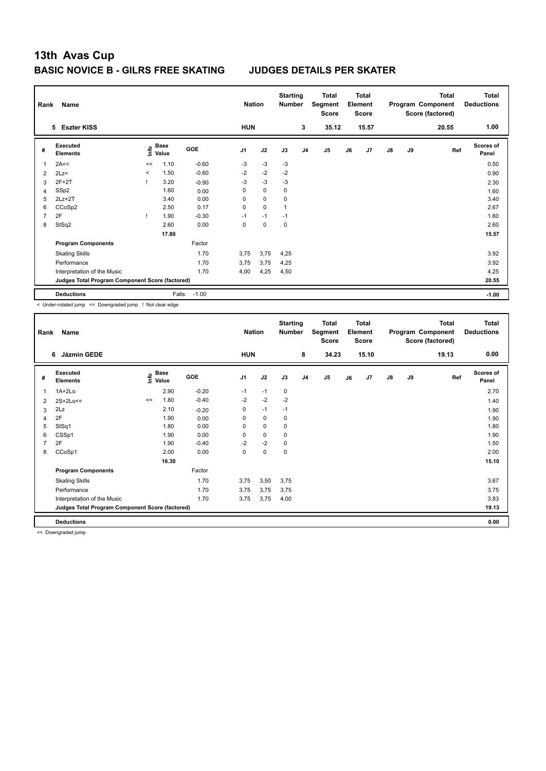| Rank           | Name                                            | <b>Nation</b> |               | <b>Starting</b><br><b>Number</b> |                | <b>Total</b><br>Segment<br><b>Score</b> | <b>Total</b><br>Element<br><b>Score</b><br>15.57 |                |       |    | Total<br>Program Component<br>Score (factored) | <b>Total</b><br><b>Deductions</b> |    |       |                    |
|----------------|-------------------------------------------------|---------------|---------------|----------------------------------|----------------|-----------------------------------------|--------------------------------------------------|----------------|-------|----|------------------------------------------------|-----------------------------------|----|-------|--------------------|
|                | 5 Eszter KISS                                   |               |               |                                  | <b>HUN</b>     |                                         |                                                  | 3              | 35.12 |    |                                                |                                   |    | 20.55 | 1.00               |
| #              | Executed<br><b>Elements</b>                     | ١nfo          | Base<br>Value | <b>GOE</b>                       | J <sub>1</sub> | J2                                      | J3                                               | J <sub>4</sub> | J5    | J6 | J7                                             | J8                                | J9 | Ref   | Scores of<br>Panel |
| 1              | 2A<<                                            | <<            | 1.10          | $-0.60$                          | $-3$           | $-3$                                    | $-3$                                             |                |       |    |                                                |                                   |    |       | 0.50               |
| $\overline{2}$ | 2Lz                                             | $\prec$       | 1.50          | $-0.60$                          | $-2$           | $-2$                                    | $-2$                                             |                |       |    |                                                |                                   |    |       | 0.90               |
| 3              | $2F+2T$                                         |               | 3.20          | $-0.90$                          | $-3$           | $-3$                                    | $-3$                                             |                |       |    |                                                |                                   |    |       | 2.30               |
| 4              | SSp2                                            |               | 1.60          | 0.00                             | 0              | $\mathbf 0$                             | $\mathbf 0$                                      |                |       |    |                                                |                                   |    |       | 1.60               |
| 5              | $2Lz + 2T$                                      |               | 3.40          | 0.00                             | $\Omega$       | $\mathbf 0$                             | 0                                                |                |       |    |                                                |                                   |    |       | 3.40               |
| 6              | CCoSp2                                          |               | 2.50          | 0.17                             | 0              | $\mathbf 0$                             | 1                                                |                |       |    |                                                |                                   |    |       | 2.67               |
| 7              | 2F                                              |               | 1.90          | $-0.30$                          | $-1$           | $-1$                                    | $-1$                                             |                |       |    |                                                |                                   |    |       | 1.60               |
| 8              | StSq2                                           |               | 2.60          | 0.00                             | 0              | $\mathbf 0$                             | 0                                                |                |       |    |                                                |                                   |    |       | 2.60               |
|                |                                                 |               | 17.80         |                                  |                |                                         |                                                  |                |       |    |                                                |                                   |    |       | 15.57              |
|                | <b>Program Components</b>                       |               |               | Factor                           |                |                                         |                                                  |                |       |    |                                                |                                   |    |       |                    |
|                | <b>Skating Skills</b>                           |               |               | 1.70                             | 3,75           | 3,75                                    | 4,25                                             |                |       |    |                                                |                                   |    |       | 3.92               |
|                | Performance                                     |               |               | 1.70                             | 3,75           | 3,75                                    | 4,25                                             |                |       |    |                                                |                                   |    |       | 3.92               |
|                | Interpretation of the Music                     |               |               | 1.70                             | 4,00           | 4,25                                    | 4,50                                             |                |       |    |                                                |                                   |    |       | 4.25               |
|                | Judges Total Program Component Score (factored) |               |               |                                  |                |                                         |                                                  |                |       |    |                                                |                                   |    |       | 20.55              |
|                | <b>Deductions</b>                               |               | Falls:        | $-1.00$                          |                |                                         |                                                  |                |       |    |                                                |                                   |    |       | $-1.00$            |

< Under-rotated jump << Downgraded jump ! Not clear edge

| Rank           | Name                                            |    | <b>Nation</b>                    |         | <b>Starting</b><br><b>Number</b> |             | <b>Total</b><br>Segment<br><b>Score</b> | <b>Total</b><br>Element<br><b>Score</b> |       |    |       | <b>Total</b><br>Program Component<br>Score (factored) | <b>Total</b><br><b>Deductions</b> |       |                    |
|----------------|-------------------------------------------------|----|----------------------------------|---------|----------------------------------|-------------|-----------------------------------------|-----------------------------------------|-------|----|-------|-------------------------------------------------------|-----------------------------------|-------|--------------------|
|                | <b>Jázmin GEDE</b><br>6                         |    |                                  |         | <b>HUN</b>                       |             |                                         | 8                                       | 34.23 |    | 15.10 |                                                       |                                   | 19.13 | 0.00               |
| #              | Executed<br><b>Elements</b>                     |    | <b>Base</b><br>e Base<br>⊆ Value | GOE     | J <sub>1</sub>                   | J2          | J3                                      | J <sub>4</sub>                          | J5    | J6 | J7    | $\mathsf{J}8$                                         | J9                                | Ref   | Scores of<br>Panel |
| 1              | $1A+2Lo$                                        |    | 2.90                             | $-0.20$ | $-1$                             | $-1$        | 0                                       |                                         |       |    |       |                                                       |                                   |       | 2.70               |
| 2              | $2S+2Lo<<$                                      | << | 1.80                             | $-0.40$ | $-2$                             | $-2$        | $-2$                                    |                                         |       |    |       |                                                       |                                   |       | 1.40               |
| 3              | 2Lz                                             |    | 2.10                             | $-0.20$ | 0                                | $-1$        | $-1$                                    |                                         |       |    |       |                                                       |                                   |       | 1.90               |
| 4              | 2F                                              |    | 1.90                             | 0.00    | 0                                | $\mathbf 0$ | $\mathbf 0$                             |                                         |       |    |       |                                                       |                                   |       | 1.90               |
| 5              | StSq1                                           |    | 1.80                             | 0.00    | 0                                | $\mathbf 0$ | $\mathbf 0$                             |                                         |       |    |       |                                                       |                                   |       | 1.80               |
| 6              | CSSp1                                           |    | 1.90                             | 0.00    | 0                                | $\mathbf 0$ | $\mathbf 0$                             |                                         |       |    |       |                                                       |                                   |       | 1.90               |
| $\overline{7}$ | 2F                                              |    | 1.90                             | $-0.40$ | $-2$                             | $-2$        | $\mathbf 0$                             |                                         |       |    |       |                                                       |                                   |       | 1.50               |
| 8              | CCoSp1                                          |    | 2.00                             | 0.00    | 0                                | 0           | $\mathbf 0$                             |                                         |       |    |       |                                                       |                                   |       | 2.00               |
|                |                                                 |    | 16.30                            |         |                                  |             |                                         |                                         |       |    |       |                                                       |                                   |       | 15.10              |
|                | <b>Program Components</b>                       |    |                                  | Factor  |                                  |             |                                         |                                         |       |    |       |                                                       |                                   |       |                    |
|                | <b>Skating Skills</b>                           |    |                                  | 1.70    | 3,75                             | 3,50        | 3,75                                    |                                         |       |    |       |                                                       |                                   |       | 3.67               |
|                | Performance                                     |    |                                  | 1.70    | 3.75                             | 3.75        | 3.75                                    |                                         |       |    |       |                                                       |                                   |       | 3.75               |
|                | Interpretation of the Music                     |    |                                  | 1.70    | 3,75                             | 3,75        | 4,00                                    |                                         |       |    |       |                                                       |                                   |       | 3.83               |
|                | Judges Total Program Component Score (factored) |    |                                  |         |                                  |             |                                         |                                         |       |    |       |                                                       |                                   |       | 19.13              |
|                | <b>Deductions</b>                               |    |                                  |         |                                  |             |                                         |                                         |       |    |       |                                                       |                                   |       | 0.00               |

<< Downgraded jump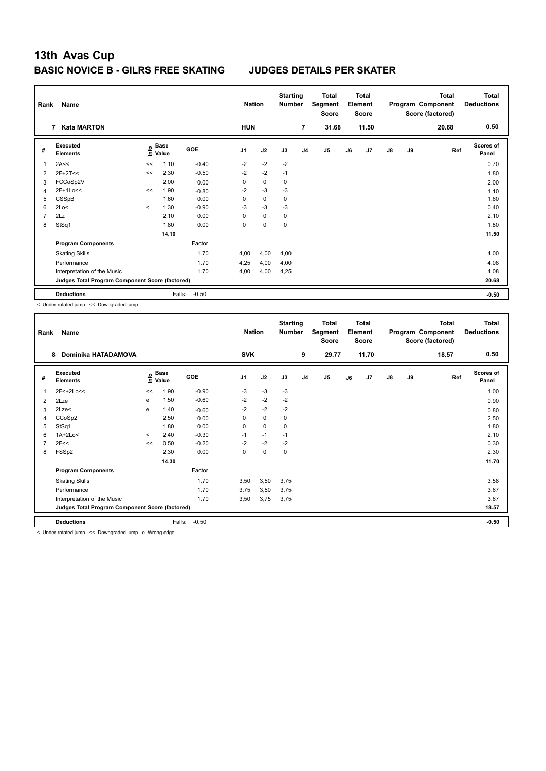| Rank | Name<br><b>Kata MARTON</b><br>7                 |         | <b>Nation</b><br><b>HUN</b> |            |                | <b>Total</b><br>Segment<br><b>Score</b> | <b>Total</b><br>Element<br><b>Score</b><br>11.50 |                |       |    | <b>Total</b><br>Program Component<br>Score (factored)<br>20.68 | <b>Total</b><br><b>Deductions</b><br>0.50 |    |     |                    |
|------|-------------------------------------------------|---------|-----------------------------|------------|----------------|-----------------------------------------|--------------------------------------------------|----------------|-------|----|----------------------------------------------------------------|-------------------------------------------|----|-----|--------------------|
|      |                                                 |         |                             |            |                |                                         |                                                  | $\overline{7}$ | 31.68 |    |                                                                |                                           |    |     |                    |
| #    | Executed<br><b>Elements</b>                     | ١nfo    | Base<br>Value               | <b>GOE</b> | J <sub>1</sub> | J2                                      | J3                                               | J <sub>4</sub> | J5    | J6 | J7                                                             | J8                                        | J9 | Ref | Scores of<br>Panel |
| 1    | 2A<<                                            | <<      | 1.10                        | $-0.40$    | $-2$           | $-2$                                    | $-2$                                             |                |       |    |                                                                |                                           |    |     | 0.70               |
| 2    | $2F+2T<<$                                       | <<      | 2.30                        | $-0.50$    | $-2$           | $-2$                                    | $-1$                                             |                |       |    |                                                                |                                           |    |     | 1.80               |
| 3    | FCCoSp2V                                        |         | 2.00                        | 0.00       | 0              | $\mathbf 0$                             | 0                                                |                |       |    |                                                                |                                           |    |     | 2.00               |
| 4    | 2F+1Lo<<                                        | <<      | 1.90                        | $-0.80$    | $-2$           | $-3$                                    | $-3$                                             |                |       |    |                                                                |                                           |    |     | 1.10               |
| 5    | CSSpB                                           |         | 1.60                        | 0.00       | 0              | $\mathbf 0$                             | 0                                                |                |       |    |                                                                |                                           |    |     | 1.60               |
| 6    | 2Lo<                                            | $\prec$ | 1.30                        | $-0.90$    | $-3$           | $-3$                                    | $-3$                                             |                |       |    |                                                                |                                           |    |     | 0.40               |
| 7    | 2Lz                                             |         | 2.10                        | 0.00       | $\Omega$       | $\Omega$                                | $\mathbf 0$                                      |                |       |    |                                                                |                                           |    |     | 2.10               |
| 8    | StSq1                                           |         | 1.80                        | 0.00       | 0              | $\mathbf 0$                             | $\mathbf 0$                                      |                |       |    |                                                                |                                           |    |     | 1.80               |
|      |                                                 |         | 14.10                       |            |                |                                         |                                                  |                |       |    |                                                                |                                           |    |     | 11.50              |
|      | <b>Program Components</b>                       |         |                             | Factor     |                |                                         |                                                  |                |       |    |                                                                |                                           |    |     |                    |
|      | <b>Skating Skills</b>                           |         |                             | 1.70       | 4,00           | 4,00                                    | 4,00                                             |                |       |    |                                                                |                                           |    |     | 4.00               |
|      | Performance                                     |         |                             | 1.70       | 4,25           | 4,00                                    | 4,00                                             |                |       |    |                                                                |                                           |    |     | 4.08               |
|      | Interpretation of the Music                     |         |                             | 1.70       | 4,00           | 4,00                                    | 4,25                                             |                |       |    |                                                                |                                           |    |     | 4.08               |
|      | Judges Total Program Component Score (factored) |         |                             |            |                |                                         |                                                  |                |       |    |                                                                |                                           |    |     | 20.68              |
|      | <b>Deductions</b>                               |         | Falls:                      | $-0.50$    |                |                                         |                                                  |                |       |    |                                                                |                                           |    |     | $-0.50$            |

< Under-rotated jump << Downgraded jump

| Rank           | Name                                            |         |                                  |            | <b>Nation</b>  |             | <b>Starting</b><br><b>Number</b> |                | <b>Total</b><br>Segment<br><b>Score</b> |    | <b>Total</b><br>Element<br><b>Score</b> |               |    | <b>Total</b><br>Program Component<br>Score (factored) | <b>Total</b><br><b>Deductions</b> |
|----------------|-------------------------------------------------|---------|----------------------------------|------------|----------------|-------------|----------------------------------|----------------|-----------------------------------------|----|-----------------------------------------|---------------|----|-------------------------------------------------------|-----------------------------------|
|                | Dominika HATADAMOVA<br>8                        |         |                                  |            | <b>SVK</b>     |             |                                  | 9              | 29.77                                   |    | 11.70                                   |               |    | 18.57                                                 | 0.50                              |
| #              | Executed<br><b>Elements</b>                     |         | <b>Base</b><br>e Base<br>⊆ Value | <b>GOE</b> | J <sub>1</sub> | J2          | J3                               | J <sub>4</sub> | J5                                      | J6 | J7                                      | $\mathsf{J}8$ | J9 | Ref                                                   | <b>Scores of</b><br>Panel         |
| 1              | 2F<+2Lo<<                                       | <<      | 1.90                             | $-0.90$    | $-3$           | $-3$        | $-3$                             |                |                                         |    |                                         |               |    |                                                       | 1.00                              |
| 2              | 2Lze                                            | e       | 1.50                             | $-0.60$    | $-2$           | $-2$        | $-2$                             |                |                                         |    |                                         |               |    |                                                       | 0.90                              |
| 3              | 2Lze<                                           | e       | 1.40                             | $-0.60$    | $-2$           | $-2$        | $-2$                             |                |                                         |    |                                         |               |    |                                                       | 0.80                              |
| 4              | CCoSp2                                          |         | 2.50                             | 0.00       | 0              | $\mathbf 0$ | $\mathbf 0$                      |                |                                         |    |                                         |               |    |                                                       | 2.50                              |
| 5              | StSq1                                           |         | 1.80                             | 0.00       | 0              | $\mathbf 0$ | $\mathbf 0$                      |                |                                         |    |                                         |               |    |                                                       | 1.80                              |
| 6              | $1A+2Lo<$                                       | $\,<\,$ | 2.40                             | $-0.30$    | $-1$           | $-1$        | $-1$                             |                |                                         |    |                                         |               |    |                                                       | 2.10                              |
| $\overline{7}$ | 2F<<                                            | <<      | 0.50                             | $-0.20$    | $-2$           | $-2$        | $-2$                             |                |                                         |    |                                         |               |    |                                                       | 0.30                              |
| 8              | FSSp2                                           |         | 2.30                             | 0.00       | 0              | 0           | $\mathbf 0$                      |                |                                         |    |                                         |               |    |                                                       | 2.30                              |
|                |                                                 |         | 14.30                            |            |                |             |                                  |                |                                         |    |                                         |               |    |                                                       | 11.70                             |
|                | <b>Program Components</b>                       |         |                                  | Factor     |                |             |                                  |                |                                         |    |                                         |               |    |                                                       |                                   |
|                | <b>Skating Skills</b>                           |         |                                  | 1.70       | 3,50           | 3,50        | 3,75                             |                |                                         |    |                                         |               |    |                                                       | 3.58                              |
|                | Performance                                     |         |                                  | 1.70       | 3.75           | 3,50        | 3.75                             |                |                                         |    |                                         |               |    |                                                       | 3.67                              |
|                | Interpretation of the Music                     |         |                                  | 1.70       | 3,50           | 3,75        | 3,75                             |                |                                         |    |                                         |               |    |                                                       | 3.67                              |
|                | Judges Total Program Component Score (factored) |         |                                  |            |                |             |                                  |                |                                         |    |                                         |               |    |                                                       | 18.57                             |
|                | <b>Deductions</b>                               |         | Falls:                           | $-0.50$    |                |             |                                  |                |                                         |    |                                         |               |    |                                                       | $-0.50$                           |

< Under-rotated jump << Downgraded jump e Wrong edge